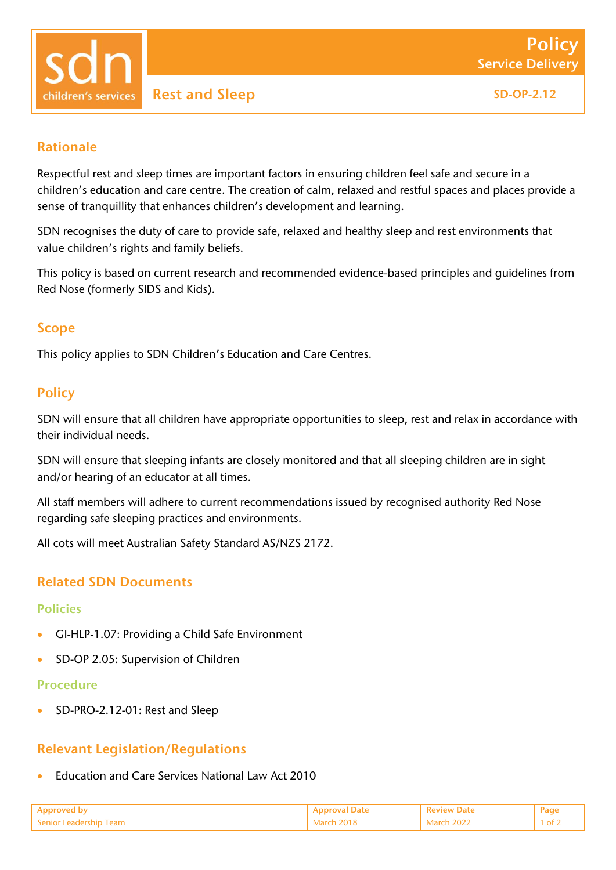children's services

# Rationale

Respectful rest and sleep times are important factors in ensuring children feel safe and secure in a children's education and care centre. The creation of calm, relaxed and restful spaces and places provide a sense of tranquillity that enhances children's development and learning.

SDN recognises the duty of care to provide safe, relaxed and healthy sleep and rest environments that value children's rights and family beliefs.

This policy is based on current research and recommended evidence-based principles and guidelines from Red Nose (formerly SIDS and Kids).

# Scope

This policy applies to SDN Children's Education and Care Centres.

# **Policy**

SDN will ensure that all children have appropriate opportunities to sleep, rest and relax in accordance with their individual needs.

SDN will ensure that sleeping infants are closely monitored and that all sleeping children are in sight and/or hearing of an educator at all times.

All staff members will adhere to current recommendations issued by recognised authority Red Nose regarding safe sleeping practices and environments.

All cots will meet Australian Safety Standard AS/NZS 2172.

# Related SDN Documents

### Policies

- GI-HLP-1.07: Providing a Child Safe Environment
- **SD-OP 2.05: Supervision of Children**

#### Procedure

SD-PRO-2.12-01: Rest and Sleep

# Relevant Legislation/Regulations

Education and Care Services National Law Act 2010

|                        |                 | <sup>1</sup> Peview Date |  |
|------------------------|-----------------|--------------------------|--|
| Senior Leadership Team | $M$ arch $2018$ | March 2022               |  |